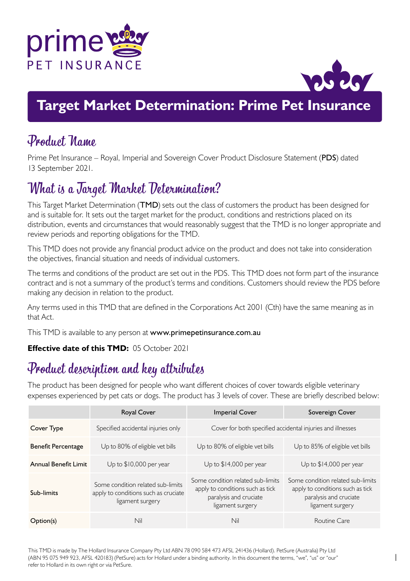



## **Target Market Determination: Prime Pet Insurance**

### Product Name

Prime Pet Insurance – Royal, Imperial and Sovereign Cover Product Disclosure Statement (PDS) dated 13 September 2021.

# What is a Target Market Determination?

This Target Market Determination (TMD) sets out the class of customers the product has been designed for and is suitable for. It sets out the target market for the product, conditions and restrictions placed on its distribution, events and circumstances that would reasonably suggest that the TMD is no longer appropriate and review periods and reporting obligations for the TMD.

This TMD does not provide any financial product advice on the product and does not take into consideration the objectives, financial situation and needs of individual customers.

The terms and conditions of the product are set out in the PDS. This TMD does not form part of the insurance contract and is not a summary of the product's terms and conditions. Customers should review the PDS before making any decision in relation to the product.

Any terms used in this TMD that are defined in the Corporations Act 2001 (Cth) have the same meaning as in that Act.

This TMD is available to any person at <www.primepetinsurance.com.au>

#### **Effective date of this TMD:** 05 October 2021

## Product description and key attributes

The product has been designed for people who want different choices of cover towards eligible veterinary expenses experienced by pet cats or dogs. The product has 3 levels of cover. These are briefly described below:

|                           | <b>Royal Cover</b>                                                                            | <b>Imperial Cover</b>                                                                                               | Sovereign Cover                                                                                                     |
|---------------------------|-----------------------------------------------------------------------------------------------|---------------------------------------------------------------------------------------------------------------------|---------------------------------------------------------------------------------------------------------------------|
| Cover Type                | Specified accidental injuries only                                                            | Cover for both specified accidental injuries and illnesses                                                          |                                                                                                                     |
| <b>Benefit Percentage</b> | Up to 80% of eligible vet bills                                                               | Up to 80% of eligible vet bills                                                                                     | Up to 85% of eligible vet bills                                                                                     |
| Annual Benefit Limit      | Up to \$10,000 per year                                                                       | Up to \$14,000 per year                                                                                             | Up to \$14,000 per year                                                                                             |
| Sub-limits                | Some condition related sub-limits<br>apply to conditions such as cruciate<br>ligament surgery | Some condition related sub-limits<br>apply to conditions such as tick<br>paralysis and cruciate<br>ligament surgery | Some condition related sub-limits<br>apply to conditions such as tick<br>paralysis and cruciate<br>ligament surgery |
| Option(s)                 | Nil                                                                                           | Nil                                                                                                                 | Routine Care                                                                                                        |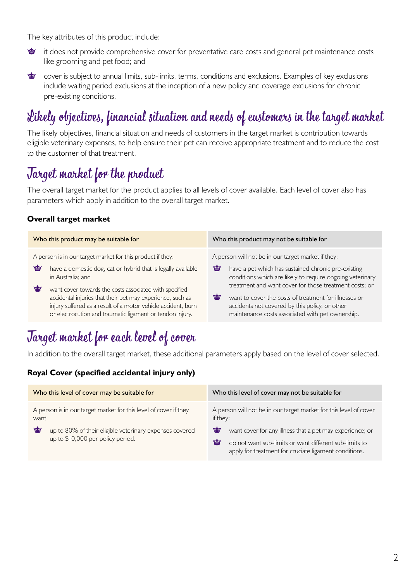The key attributes of this product include:

- it does not provide comprehensive cover for preventative care costs and general pet maintenance costs 雪 like grooming and pet food; and
- **vity** cover is subject to annual limits, sub-limits, terms, conditions and exclusions. Examples of key exclusions include waiting period exclusions at the inception of a new policy and coverage exclusions for chronic pre-existing conditions.

# Likely objectives, financial situation and needs of customers in the target market

The likely objectives, financial situation and needs of customers in the target market is contribution towards eligible veterinary expenses, to help ensure their pet can receive appropriate treatment and to reduce the cost to the customer of that treatment.

## Target market for the product

The overall target market for the product applies to all levels of cover available. Each level of cover also has parameters which apply in addition to the overall target market.

#### **Overall target market**

| Who this product may be suitable for                          | Who this product may not be suitable for                  |  |
|---------------------------------------------------------------|-----------------------------------------------------------|--|
| A person is in our target market for this product if they:    | A person will not be in our target market if they:        |  |
| ₩                                                             | 會                                                         |  |
| have a domestic dog, cat or hybrid that is legally available  | have a pet which has sustained chronic pre-existing       |  |
| in Australia: and                                             | conditions which are likely to require ongoing veterinary |  |
| ₩                                                             | treatment and want cover for those treatment costs: or    |  |
| want cover towards the costs associated with specified        | ₩                                                         |  |
| accidental injuries that their pet may experience, such as    | want to cover the costs of treatment for illnesses or     |  |
| injury suffered as a result of a motor vehicle accident, burn | accidents not covered by this policy, or other            |  |
| or electrocution and traumatic ligament or tendon injury.     | maintenance costs associated with pet ownership.          |  |

# Target market for each level of cover

In addition to the overall target market, these additional parameters apply based on the level of cover selected.

#### **Royal Cover (specified accidental injury only)**

| Who this level of cover may be suitable for                                                                                                                                    | Who this level of cover may not be suitable for                                                                                                                                                                                                                        |
|--------------------------------------------------------------------------------------------------------------------------------------------------------------------------------|------------------------------------------------------------------------------------------------------------------------------------------------------------------------------------------------------------------------------------------------------------------------|
| A person is in our target market for this level of cover if they<br>want:<br>₩<br>up to 80% of their eligible veterinary expenses covered<br>up to \$10,000 per policy period. | A person will not be in our target market for this level of cover<br>if they:<br>₩<br>want cover for any illness that a pet may experience; or<br>₩<br>do not want sub-limits or want different sub-limits to<br>apply for treatment for cruciate ligament conditions. |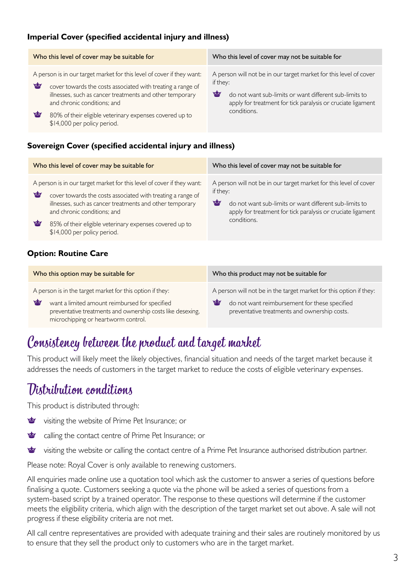#### **Imperial Cover (specified accidental injury and illness)**

| Who this level of cover may be suitable for                                                                                                                                                                                                                                                                                                      | Who this level of cover may not be suitable for                                                                                                                                                                            |  |
|--------------------------------------------------------------------------------------------------------------------------------------------------------------------------------------------------------------------------------------------------------------------------------------------------------------------------------------------------|----------------------------------------------------------------------------------------------------------------------------------------------------------------------------------------------------------------------------|--|
| A person is in our target market for this level of cover if they want:<br>雪<br>cover towards the costs associated with treating a range of<br>illnesses, such as cancer treatments and other temporary<br>and chronic conditions; and<br><b>Figure</b><br>80% of their eligible veterinary expenses covered up to<br>\$14,000 per policy period. | A person will not be in our target market for this level of cover<br>if they:<br>₩<br>do not want sub-limits or want different sub-limits to<br>apply for treatment for tick paralysis or cruciate ligament<br>conditions. |  |

#### **Sovereign Cover (specified accidental injury and illness)**

| Who this level of cover may be suitable for                                                                                                                                                                                                                                                                                          | Who this level of cover may not be suitable for                                                                                                                                                                            |  |
|--------------------------------------------------------------------------------------------------------------------------------------------------------------------------------------------------------------------------------------------------------------------------------------------------------------------------------------|----------------------------------------------------------------------------------------------------------------------------------------------------------------------------------------------------------------------------|--|
| A person is in our target market for this level of cover if they want:<br>₩<br>cover towards the costs associated with treating a range of<br>illnesses, such as cancer treatments and other temporary<br>and chronic conditions; and<br>≌<br>85% of their eligible veterinary expenses covered up to<br>\$14,000 per policy period. | A person will not be in our target market for this level of cover<br>if they:<br>₩<br>do not want sub-limits or want different sub-limits to<br>apply for treatment for tick paralysis or cruciate ligament<br>conditions. |  |
|                                                                                                                                                                                                                                                                                                                                      |                                                                                                                                                                                                                            |  |

#### **Option: Routine Care**

| Who this option may be suitable for                                                                                                                                                                                   | Who this product may not be suitable for                                                                                                                                 |  |
|-----------------------------------------------------------------------------------------------------------------------------------------------------------------------------------------------------------------------|--------------------------------------------------------------------------------------------------------------------------------------------------------------------------|--|
| A person is in the target market for this option if they:<br>₩<br>want a limited amount reimbursed for specified<br>preventative treatments and ownership costs like desexing.<br>microchipping or heartworm control. | A person will not be in the target market for this option if they:<br>₩<br>do not want reimbursement for these specified<br>preventative treatments and ownership costs. |  |

### Consistency between the product and target market

This product will likely meet the likely objectives, financial situation and needs of the target market because it addresses the needs of customers in the target market to reduce the costs of eligible veterinary expenses.

## Distribution conditions

This product is distributed through:

- 會 visiting the website of Prime Pet Insurance; or
- ₩ calling the contact centre of Prime Pet Insurance; or
- 會 visiting the website or calling the contact centre of a Prime Pet Insurance authorised distribution partner.

Please note: Royal Cover is only available to renewing customers.

All enquiries made online use a quotation tool which ask the customer to answer a series of questions before finalising a quote. Customers seeking a quote via the phone will be asked a series of questions from a system-based script by a trained operator. The response to these questions will determine if the customer meets the eligibility criteria, which align with the description of the target market set out above. A sale will not progress if these eligibility criteria are not met.

All call centre representatives are provided with adequate training and their sales are routinely monitored by us to ensure that they sell the product only to customers who are in the target market.